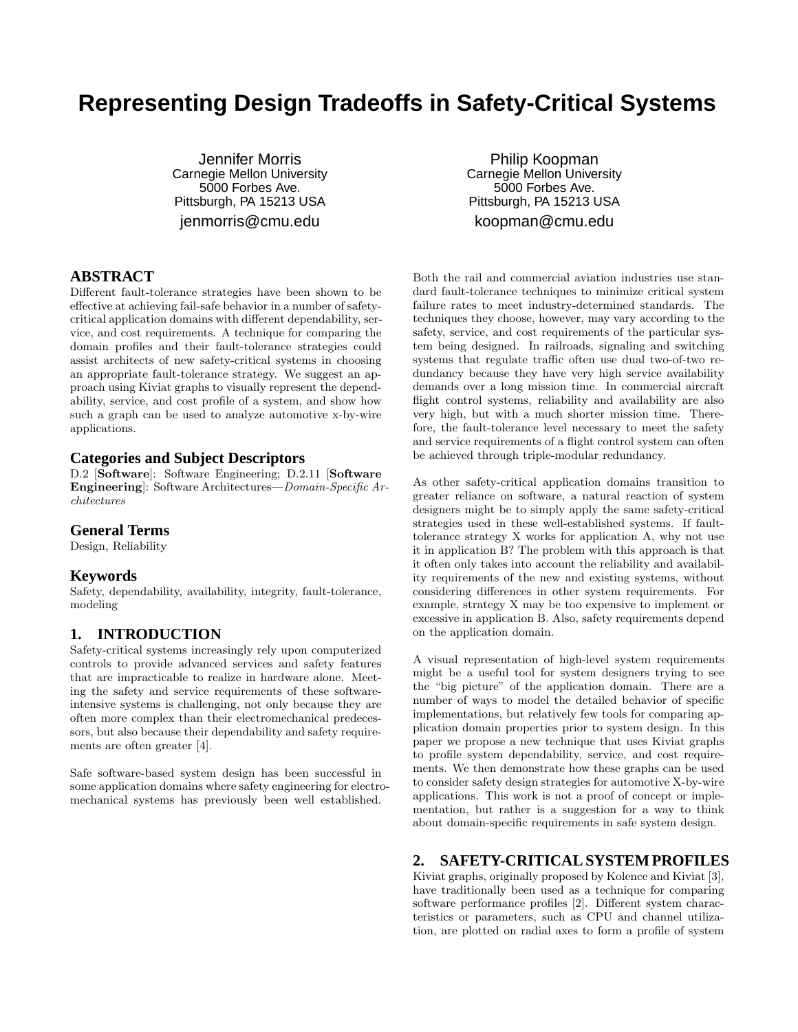# **Representing Design Tradeoffs in Safety-Critical Systems**

Jennifer Morris Carnegie Mellon University 5000 Forbes Ave. Pittsburgh, PA 15213 USA jenmorris@cmu.edu

### **ABSTRACT**

Different fault-tolerance strategies have been shown to be effective at achieving fail-safe behavior in a number of safetycritical application domains with different dependability, service, and cost requirements. A technique for comparing the domain profiles and their fault-tolerance strategies could assist architects of new safety-critical systems in choosing an appropriate fault-tolerance strategy. We suggest an approach using Kiviat graphs to visually represent the dependability, service, and cost profile of a system, and show how such a graph can be used to analyze automotive x-by-wire applications.

### **Categories and Subject Descriptors**

D.2 [Software]: Software Engineering; D.2.11 [Software Engineering]: Software Architectures—Domain-Specific Architectures

## **General Terms**

Design, Reliability

#### **Keywords**

Safety, dependability, availability, integrity, fault-tolerance, modeling

#### **1. INTRODUCTION**

Safety-critical systems increasingly rely upon computerized controls to provide advanced services and safety features that are impracticable to realize in hardware alone. Meeting the safety and service requirements of these softwareintensive systems is challenging, not only because they are often more complex than their electromechanical predecessors, but also because their dependability and safety requirements are often greater [4].

Safe software-based system design has been successful in some application domains where safety engineering for electromechanical systems has previously been well established.

Philip Koopman Carnegie Mellon University 5000 Forbes Ave. Pittsburgh, PA 15213 USA koopman@cmu.edu

Both the rail and commercial aviation industries use standard fault-tolerance techniques to minimize critical system failure rates to meet industry-determined standards. The techniques they choose, however, may vary according to the safety, service, and cost requirements of the particular system being designed. In railroads, signaling and switching systems that regulate traffic often use dual two-of-two redundancy because they have very high service availability demands over a long mission time. In commercial aircraft flight control systems, reliability and availability are also very high, but with a much shorter mission time. Therefore, the fault-tolerance level necessary to meet the safety and service requirements of a flight control system can often be achieved through triple-modular redundancy.

As other safety-critical application domains transition to greater reliance on software, a natural reaction of system designers might be to simply apply the same safety-critical strategies used in these well-established systems. If faulttolerance strategy X works for application A, why not use it in application B? The problem with this approach is that it often only takes into account the reliability and availability requirements of the new and existing systems, without considering differences in other system requirements. For example, strategy X may be too expensive to implement or excessive in application B. Also, safety requirements depend on the application domain.

A visual representation of high-level system requirements might be a useful tool for system designers trying to see the "big picture" of the application domain. There are a number of ways to model the detailed behavior of specific implementations, but relatively few tools for comparing application domain properties prior to system design. In this paper we propose a new technique that uses Kiviat graphs to profile system dependability, service, and cost requirements. We then demonstrate how these graphs can be used to consider safety design strategies for automotive X-by-wire applications. This work is not a proof of concept or implementation, but rather is a suggestion for a way to think about domain-specific requirements in safe system design.

# **2. SAFETY-CRITICAL SYSTEM PROFILES**

Kiviat graphs, originally proposed by Kolence and Kiviat [3], have traditionally been used as a technique for comparing software performance profiles [2]. Different system characteristics or parameters, such as CPU and channel utilization, are plotted on radial axes to form a profile of system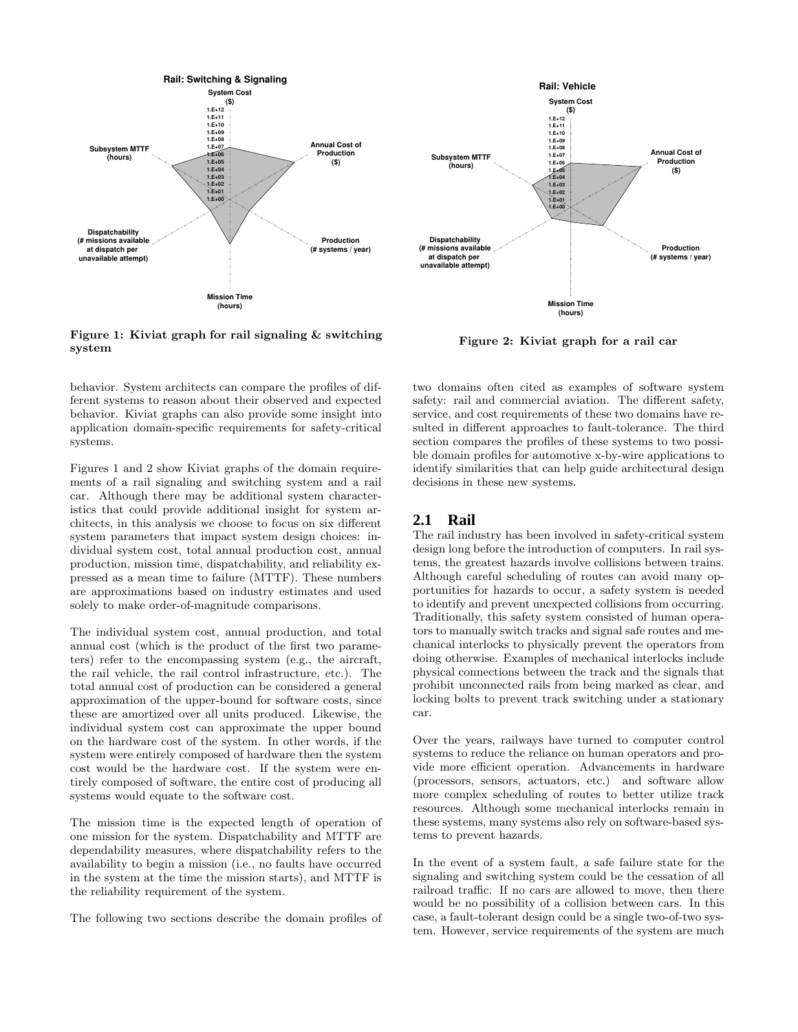

Figure 1: Kiviat graph for rail signaling & switching system

behavior. System architects can compare the profiles of different systems to reason about their observed and expected behavior. Kiviat graphs can also provide some insight into application domain-specific requirements for safety-critical systems.

Figures 1 and 2 show Kiviat graphs of the domain requirements of a rail signaling and switching system and a rail car. Although there may be additional system characteristics that could provide additional insight for system architects, in this analysis we choose to focus on six different system parameters that impact system design choices: individual system cost, total annual production cost, annual production, mission time, dispatchability, and reliability expressed as a mean time to failure (MTTF). These numbers are approximations based on industry estimates and used solely to make order-of-magnitude comparisons.

The individual system cost, annual production, and total annual cost (which is the product of the first two parameters) refer to the encompassing system (e.g., the aircraft, the rail vehicle, the rail control infrastructure, etc.). The total annual cost of production can be considered a general approximation of the upper-bound for software costs, since these are amortized over all units produced. Likewise, the individual system cost can approximate the upper bound on the hardware cost of the system. In other words, if the system were entirely composed of hardware then the system cost would be the hardware cost. If the system were entirely composed of software, the entire cost of producing all systems would equate to the software cost.

The mission time is the expected length of operation of one mission for the system. Dispatchability and MTTF are dependability measures, where dispatchability refers to the availability to begin a mission (i.e., no faults have occurred in the system at the time the mission starts), and MTTF is the reliability requirement of the system.

The following two sections describe the domain profiles of



Figure 2: Kiviat graph for a rail car

two domains often cited as examples of software system safety: rail and commercial aviation. The different safety, service, and cost requirements of these two domains have resulted in different approaches to fault-tolerance. The third section compares the profiles of these systems to two possible domain profiles for automotive x-by-wire applications to identify similarities that can help guide architectural design decisions in these new systems.

#### **2.1 Rail**

The rail industry has been involved in safety-critical system design long before the introduction of computers. In rail systems, the greatest hazards involve collisions between trains. Although careful scheduling of routes can avoid many opportunities for hazards to occur, a safety system is needed to identify and prevent unexpected collisions from occurring. Traditionally, this safety system consisted of human operators to manually switch tracks and signal safe routes and mechanical interlocks to physically prevent the operators from doing otherwise. Examples of mechanical interlocks include physical connections between the track and the signals that prohibit unconnected rails from being marked as clear, and locking bolts to prevent track switching under a stationary car.

Over the years, railways have turned to computer control systems to reduce the reliance on human operators and provide more efficient operation. Advancements in hardware (processors, sensors, actuators, etc.) and software allow more complex scheduling of routes to better utilize track resources. Although some mechanical interlocks remain in these systems, many systems also rely on software-based systems to prevent hazards.

In the event of a system fault, a safe failure state for the signaling and switching system could be the cessation of all railroad traffic. If no cars are allowed to move, then there would be no possibility of a collision between cars. In this case, a fault-tolerant design could be a single two-of-two system. However, service requirements of the system are much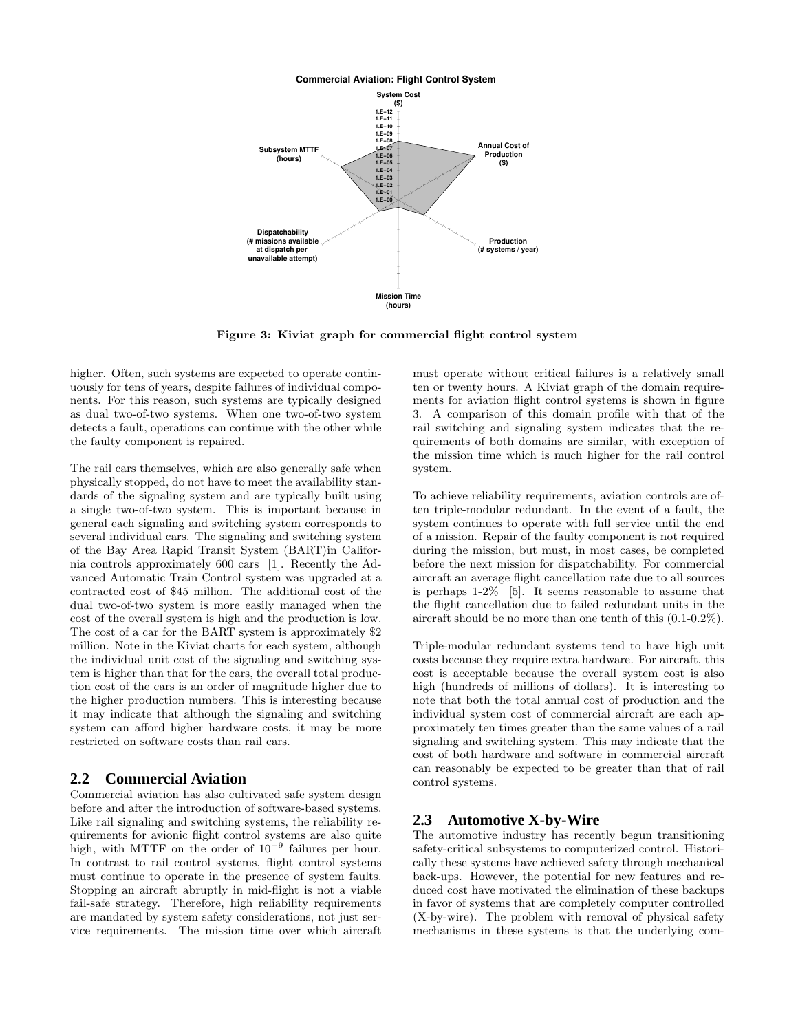

Figure 3: Kiviat graph for commercial flight control system

higher. Often, such systems are expected to operate continuously for tens of years, despite failures of individual components. For this reason, such systems are typically designed as dual two-of-two systems. When one two-of-two system detects a fault, operations can continue with the other while the faulty component is repaired.

The rail cars themselves, which are also generally safe when physically stopped, do not have to meet the availability standards of the signaling system and are typically built using a single two-of-two system. This is important because in general each signaling and switching system corresponds to several individual cars. The signaling and switching system of the Bay Area Rapid Transit System (BART)in California controls approximately 600 cars [1]. Recently the Advanced Automatic Train Control system was upgraded at a contracted cost of \$45 million. The additional cost of the dual two-of-two system is more easily managed when the cost of the overall system is high and the production is low. The cost of a car for the BART system is approximately \$2 million. Note in the Kiviat charts for each system, although the individual unit cost of the signaling and switching system is higher than that for the cars, the overall total production cost of the cars is an order of magnitude higher due to the higher production numbers. This is interesting because it may indicate that although the signaling and switching system can afford higher hardware costs, it may be more restricted on software costs than rail cars.

## **2.2 Commercial Aviation**

Commercial aviation has also cultivated safe system design before and after the introduction of software-based systems. Like rail signaling and switching systems, the reliability requirements for avionic flight control systems are also quite high, with MTTF on the order of  $10^{-9}$  failures per hour. In contrast to rail control systems, flight control systems must continue to operate in the presence of system faults. Stopping an aircraft abruptly in mid-flight is not a viable fail-safe strategy. Therefore, high reliability requirements are mandated by system safety considerations, not just service requirements. The mission time over which aircraft

must operate without critical failures is a relatively small ten or twenty hours. A Kiviat graph of the domain requirements for aviation flight control systems is shown in figure 3. A comparison of this domain profile with that of the rail switching and signaling system indicates that the requirements of both domains are similar, with exception of the mission time which is much higher for the rail control system.

To achieve reliability requirements, aviation controls are often triple-modular redundant. In the event of a fault, the system continues to operate with full service until the end of a mission. Repair of the faulty component is not required during the mission, but must, in most cases, be completed before the next mission for dispatchability. For commercial aircraft an average flight cancellation rate due to all sources is perhaps 1-2% [5]. It seems reasonable to assume that the flight cancellation due to failed redundant units in the aircraft should be no more than one tenth of this (0.1-0.2%).

Triple-modular redundant systems tend to have high unit costs because they require extra hardware. For aircraft, this cost is acceptable because the overall system cost is also high (hundreds of millions of dollars). It is interesting to note that both the total annual cost of production and the individual system cost of commercial aircraft are each approximately ten times greater than the same values of a rail signaling and switching system. This may indicate that the cost of both hardware and software in commercial aircraft can reasonably be expected to be greater than that of rail control systems.

# **2.3 Automotive X-by-Wire**

The automotive industry has recently begun transitioning safety-critical subsystems to computerized control. Historically these systems have achieved safety through mechanical back-ups. However, the potential for new features and reduced cost have motivated the elimination of these backups in favor of systems that are completely computer controlled (X-by-wire). The problem with removal of physical safety mechanisms in these systems is that the underlying com-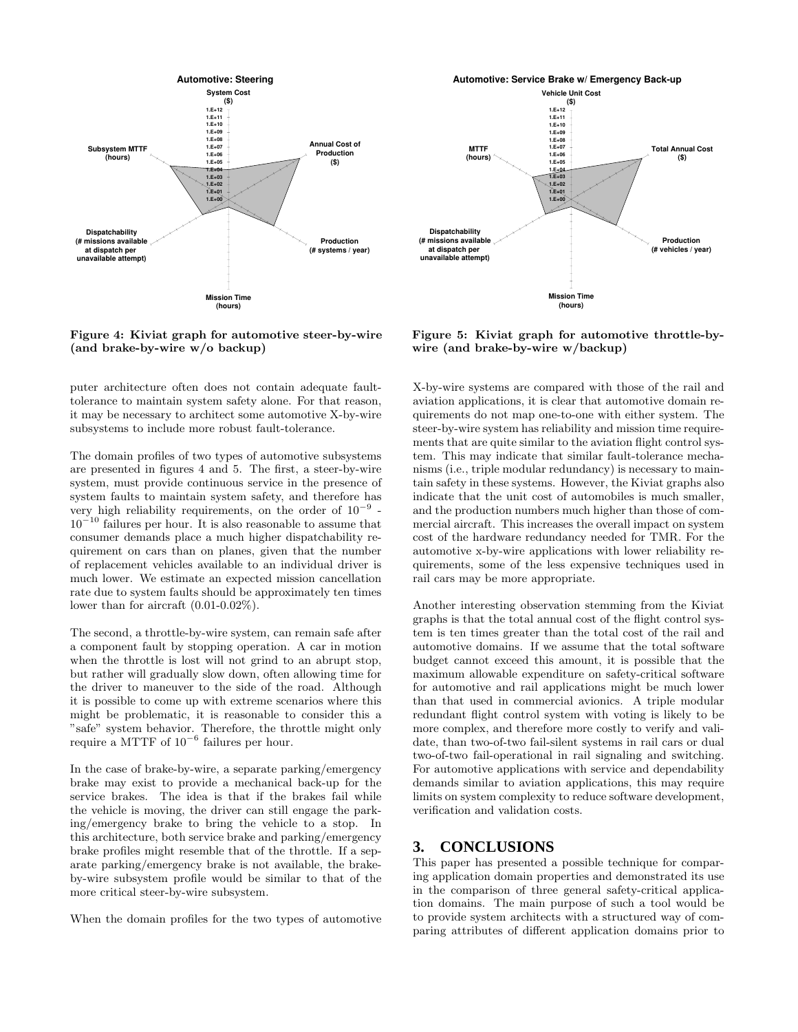

Figure 4: Kiviat graph for automotive steer-by-wire (and brake-by-wire w/o backup)

puter architecture often does not contain adequate faulttolerance to maintain system safety alone. For that reason, it may be necessary to architect some automotive X-by-wire subsystems to include more robust fault-tolerance.

The domain profiles of two types of automotive subsystems are presented in figures 4 and 5. The first, a steer-by-wire system, must provide continuous service in the presence of system faults to maintain system safety, and therefore has very high reliability requirements, on the order of 10<sup>−</sup><sup>9</sup> -  $10^{-10}$  failures per hour. It is also reasonable to assume that consumer demands place a much higher dispatchability requirement on cars than on planes, given that the number of replacement vehicles available to an individual driver is much lower. We estimate an expected mission cancellation rate due to system faults should be approximately ten times lower than for aircraft (0.01-0.02%).

The second, a throttle-by-wire system, can remain safe after a component fault by stopping operation. A car in motion when the throttle is lost will not grind to an abrupt stop, but rather will gradually slow down, often allowing time for the driver to maneuver to the side of the road. Although it is possible to come up with extreme scenarios where this might be problematic, it is reasonable to consider this a "safe" system behavior. Therefore, the throttle might only require a MTTF of 10<sup>−</sup><sup>6</sup> failures per hour.

In the case of brake-by-wire, a separate parking/emergency brake may exist to provide a mechanical back-up for the service brakes. The idea is that if the brakes fail while the vehicle is moving, the driver can still engage the parking/emergency brake to bring the vehicle to a stop. In this architecture, both service brake and parking/emergency brake profiles might resemble that of the throttle. If a separate parking/emergency brake is not available, the brakeby-wire subsystem profile would be similar to that of the more critical steer-by-wire subsystem.

When the domain profiles for the two types of automotive



Figure 5: Kiviat graph for automotive throttle-bywire (and brake-by-wire w/backup)

X-by-wire systems are compared with those of the rail and aviation applications, it is clear that automotive domain requirements do not map one-to-one with either system. The steer-by-wire system has reliability and mission time requirements that are quite similar to the aviation flight control system. This may indicate that similar fault-tolerance mechanisms (i.e., triple modular redundancy) is necessary to maintain safety in these systems. However, the Kiviat graphs also indicate that the unit cost of automobiles is much smaller, and the production numbers much higher than those of commercial aircraft. This increases the overall impact on system cost of the hardware redundancy needed for TMR. For the automotive x-by-wire applications with lower reliability requirements, some of the less expensive techniques used in rail cars may be more appropriate.

Another interesting observation stemming from the Kiviat graphs is that the total annual cost of the flight control system is ten times greater than the total cost of the rail and automotive domains. If we assume that the total software budget cannot exceed this amount, it is possible that the maximum allowable expenditure on safety-critical software for automotive and rail applications might be much lower than that used in commercial avionics. A triple modular redundant flight control system with voting is likely to be more complex, and therefore more costly to verify and validate, than two-of-two fail-silent systems in rail cars or dual two-of-two fail-operational in rail signaling and switching. For automotive applications with service and dependability demands similar to aviation applications, this may require limits on system complexity to reduce software development, verification and validation costs.

## **3. CONCLUSIONS**

This paper has presented a possible technique for comparing application domain properties and demonstrated its use in the comparison of three general safety-critical application domains. The main purpose of such a tool would be to provide system architects with a structured way of comparing attributes of different application domains prior to